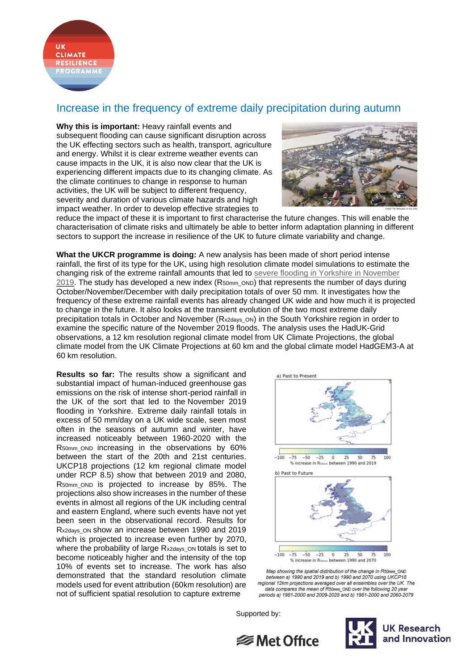

## Increase in the frequency of extreme daily precipitation during autumn

**Why this is important:** Heavy rainfall events and subsequent flooding can cause significant disruption across the UK effecting sectors such as health, transport, agriculture and energy. Whilst it is clear extreme weather events can cause impacts in the UK, it is also now clear that the UK is experiencing different impacts due to its changing climate. As the climate continues to change in response to human activities, the UK will be subject to different frequency, severity and duration of various climate hazards and high impact weather. In order to develop effective strategies to



reduce the impact of these it is important to first characterise the future changes. This will enable the characterisation of climate risks and ultimately be able to better inform adaptation planning in different sectors to support the increase in resilience of the UK to future climate variability and change.

**What the UKCR programme is doing:** A new analysis has been made of short period intense rainfall, the first of its type for the UK, using high resolution climate model simulations to estimate the changing risk of the extreme rainfall amounts that led to severe flooding in Yorkshire in November [2019.](https://www.metoffice.gov.uk/binaries/content/assets/metofficegovuk/pdf/weather/learn-about/uk-past-events/interesting/2019/2019_012_november_rain.pdf) The study has developed a new index (R50mm\_OND) that represents the number of days during October/November/December with daily precipitation totals of over 50 mm. It investigates how the frequency of these extreme rainfall events has already changed UK wide and how much it is projected to change in the future. It also looks at the transient evolution of the two most extreme daily precipitation totals in October and November (Rx2days\_ON) in the South Yorkshire region in order to examine the specific nature of the November 2019 floods. The analysis uses the HadUK-Grid observations, a 12 km resolution regional climate model from UK Climate Projections, the global climate model from the UK Climate Projections at 60 km and the global climate model HadGEM3-A at 60 km resolution.

**Results so far:** The results show a significant and substantial impact of human-induced greenhouse gas emissions on the risk of intense short-period rainfall in the UK of the sort that led to the November 2019 flooding in Yorkshire. Extreme daily rainfall totals in excess of 50 mm/day on a UK wide scale, seen most often in the seasons of autumn and winter, have increased noticeably between 1960-2020 with the R50mm\_OND increasing in the observations by 60% between the start of the 20th and 21st centuries. UKCP18 projections (12 km regional climate model under RCP 8.5) show that between 2019 and 2080, R50mm\_OND is projected to increase by 85%. The projections also show increases in the number of these events in almost all regions of the UK including central and eastern England, where such events have not yet been seen in the observational record. Results for Rx2days on show an increase between 1990 and 2019 which is projected to increase even further by 2070, where the probability of large Rx2days\_ON totals is set to become noticeably higher and the intensity of the top 10% of events set to increase. The work has also demonstrated that the standard resolution climate models used for event attribution (60km resolution) are not of sufficient spatial resolution to capture extreme



Map showing the spatial distribution of the change in R50mm\_OND between a) 1990 and 2019 and b) 1990 and 2070 using UKCP18 regional 12km projections averaged over all ensembles over the UK. The data compares the mean of R50mm\_OND over the following 20 yes periods a) 1981-2000 and 2009-2028 and b) 1981-2000 and 2060-2079

Supported by:

**<del></del>** Met Office